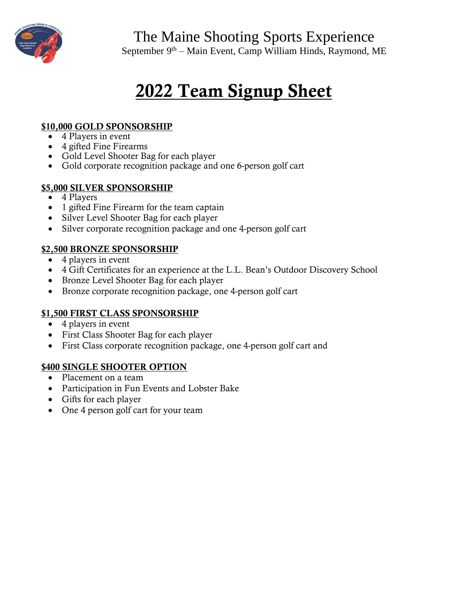

The Maine Shooting Sports Experience

September 9<sup>th</sup> – Main Event, Camp William Hinds, Raymond, ME

# 2022 Team Signup Sheet

#### \$10,000 GOLD SPONSORSHIP

- 4 Players in event
- 4 gifted Fine Firearms
- Gold Level Shooter Bag for each player
- Gold corporate recognition package and one 6-person golf cart

#### \$5,000 SILVER SPONSORSHIP

- 4 Players
- 1 gifted Fine Firearm for the team captain
- Silver Level Shooter Bag for each player
- Silver corporate recognition package and one 4-person golf cart

#### \$2,500 BRONZE SPONSORSHIP

- 4 players in event
- 4 Gift Certificates for an experience at the L.L. Bean's Outdoor Discovery School
- Bronze Level Shooter Bag for each player
- Bronze corporate recognition package, one 4-person golf cart

#### \$1,500 FIRST CLASS SPONSORSHIP

- 4 players in event
- First Class Shooter Bag for each player
- First Class corporate recognition package, one 4-person golf cart and

#### \$400 SINGLE SHOOTER OPTION

- Placement on a team
- Participation in Fun Events and Lobster Bake
- Gifts for each player
- One 4 person golf cart for your team